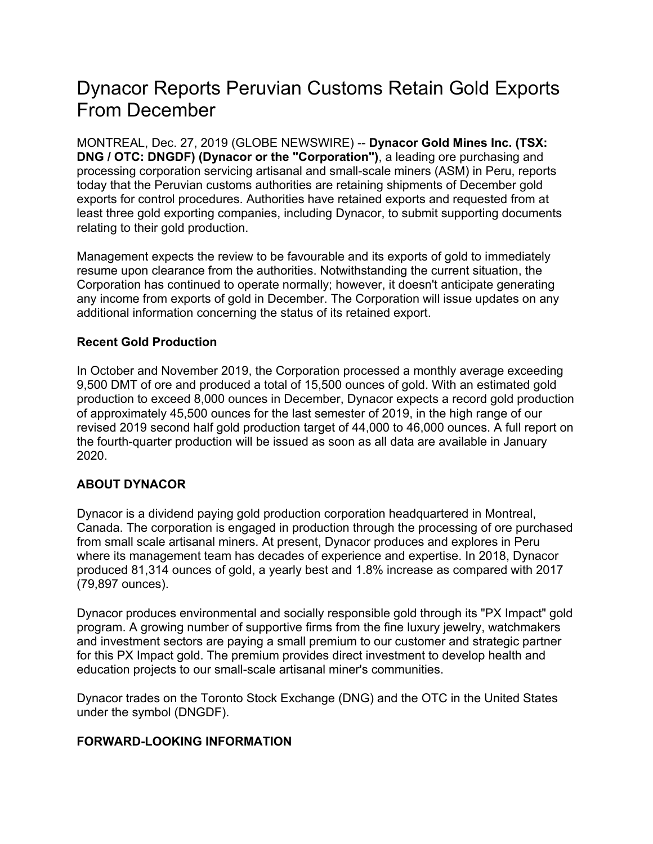## Dynacor Reports Peruvian Customs Retain Gold Exports From December

MONTREAL, Dec. 27, 2019 (GLOBE NEWSWIRE) -- **Dynacor Gold Mines Inc. (TSX: DNG / OTC: DNGDF) (Dynacor or the "Corporation")**, a leading ore purchasing and processing corporation servicing artisanal and small-scale miners (ASM) in Peru, reports today that the Peruvian customs authorities are retaining shipments of December gold exports for control procedures. Authorities have retained exports and requested from at least three gold exporting companies, including Dynacor, to submit supporting documents relating to their gold production.

Management expects the review to be favourable and its exports of gold to immediately resume upon clearance from the authorities. Notwithstanding the current situation, the Corporation has continued to operate normally; however, it doesn't anticipate generating any income from exports of gold in December. The Corporation will issue updates on any additional information concerning the status of its retained export.

## **Recent Gold Production**

In October and November 2019, the Corporation processed a monthly average exceeding 9,500 DMT of ore and produced a total of 15,500 ounces of gold. With an estimated gold production to exceed 8,000 ounces in December, Dynacor expects a record gold production of approximately 45,500 ounces for the last semester of 2019, in the high range of our revised 2019 second half gold production target of 44,000 to 46,000 ounces. A full report on the fourth-quarter production will be issued as soon as all data are available in January 2020.

## **ABOUT DYNACOR**

Dynacor is a dividend paying gold production corporation headquartered in Montreal, Canada. The corporation is engaged in production through the processing of ore purchased from small scale artisanal miners. At present, Dynacor produces and explores in Peru where its management team has decades of experience and expertise. In 2018, Dynacor produced 81,314 ounces of gold, a yearly best and 1.8% increase as compared with 2017 (79,897 ounces).

Dynacor produces environmental and socially responsible gold through its "PX Impact" gold program. A growing number of supportive firms from the fine luxury jewelry, watchmakers and investment sectors are paying a small premium to our customer and strategic partner for this PX Impact gold. The premium provides direct investment to develop health and education projects to our small-scale artisanal miner's communities.

Dynacor trades on the Toronto Stock Exchange (DNG) and the OTC in the United States under the symbol (DNGDF).

## **FORWARD-LOOKING INFORMATION**